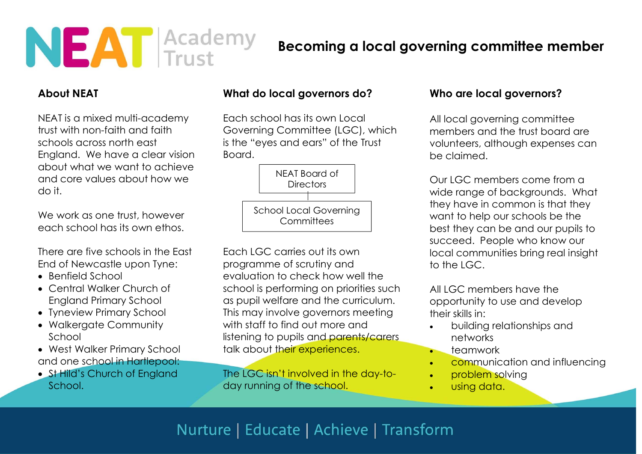

### Becoming a local governing committee member

### About NEAT

NEAT is a mixed multi-academy trust with non-faith and faith schools across north east England. We have a clear vision about what we want to achieve and core values about how we do it.

We work as one trust, however each school has its own ethos.

There are five schools in the East End of Newcastle upon Tyne:

- Benfield School
- Central Walker Church of England Primary School
- Tyneview Primary School
- Walkergate Community School
- West Walker Primary School and one school in Hartlepool:
- St Hild's Church of England School.

### What do local governors do?

Each school has its own Local Governing Committee (LGC), which is the "eyes and ears" of the Trust Board.



Each LGC carries out its own programme of scrutiny and evaluation to check how well the school is performing on priorities such as pupil welfare and the curriculum. This may involve governors meeting with staff to find out more and listening to pupils and parents/carers talk about their experiences.

The LGC isn't involved in the day-today running of the school.

#### Who are local governors?

All local governing committee members and the trust board are volunteers, although expenses can be claimed.

Our LGC members come from a wide range of backgrounds. What they have in common is that they want to help our schools be the best they can be and our pupils to succeed. People who know our local communities bring real insight to the LGC.

All LGC members have the opportunity to use and develop their skills in:

- building relationships and networks
- $\bullet$  teamwork
- **communication and influencing**
- problem solving
- using data.

# Nurture | Educate | Achieve | Transform